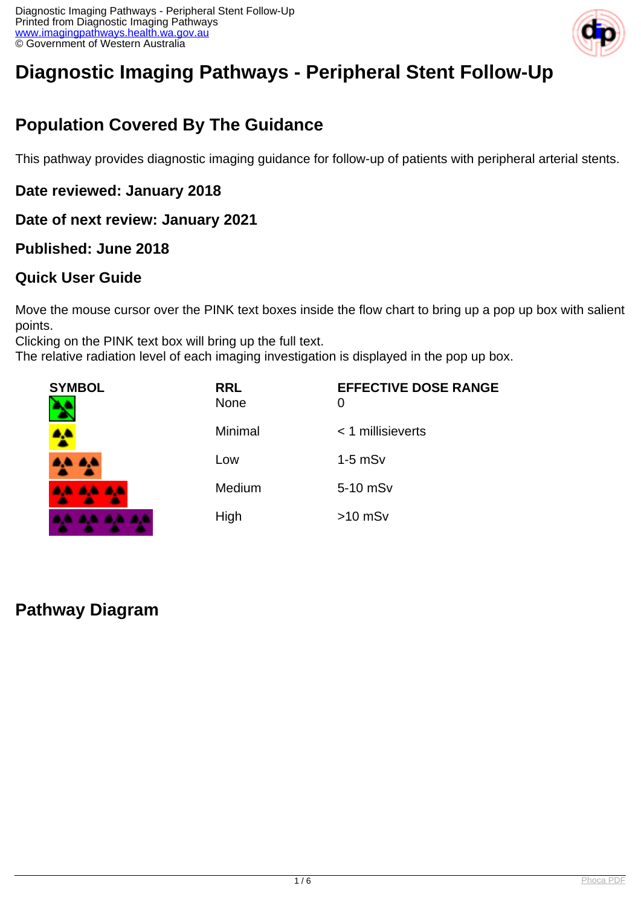

# **Diagnostic Imaging Pathways - Peripheral Stent Follow-Up**

## **Population Covered By The Guidance**

This pathway provides diagnostic imaging guidance for follow-up of patients with peripheral arterial stents.

**Date reviewed: January 2018**

**Date of next review: January 2021**

### **Published: June 2018**

### **Quick User Guide**

Move the mouse cursor over the PINK text boxes inside the flow chart to bring up a pop up box with salient points.

Clicking on the PINK text box will bring up the full text.

The relative radiation level of each imaging investigation is displayed in the pop up box.

| <b>SYMBOL</b> | <b>RRL</b><br>None | <b>EFFECTIVE DOSE RANGE</b><br>0 |
|---------------|--------------------|----------------------------------|
|               | Minimal            | $<$ 1 millisieverts              |
| 8,4 A.L       | Low                | $1-5$ mS $v$                     |
| 4,4 4,4 4,4   | Medium             | 5-10 mSv                         |
| .             | High               | $>10$ mSv                        |

### **Pathway Diagram**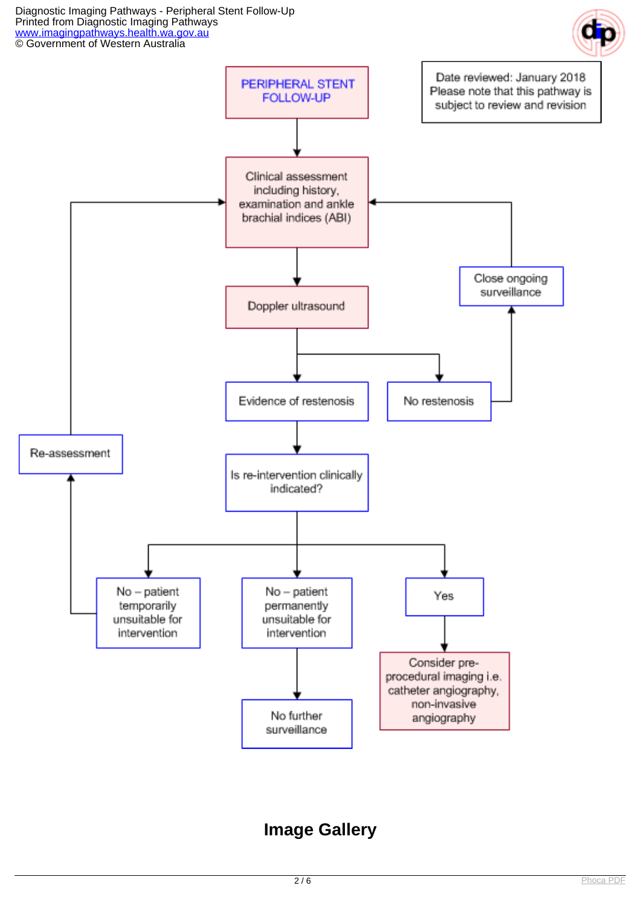



## **Image Gallery**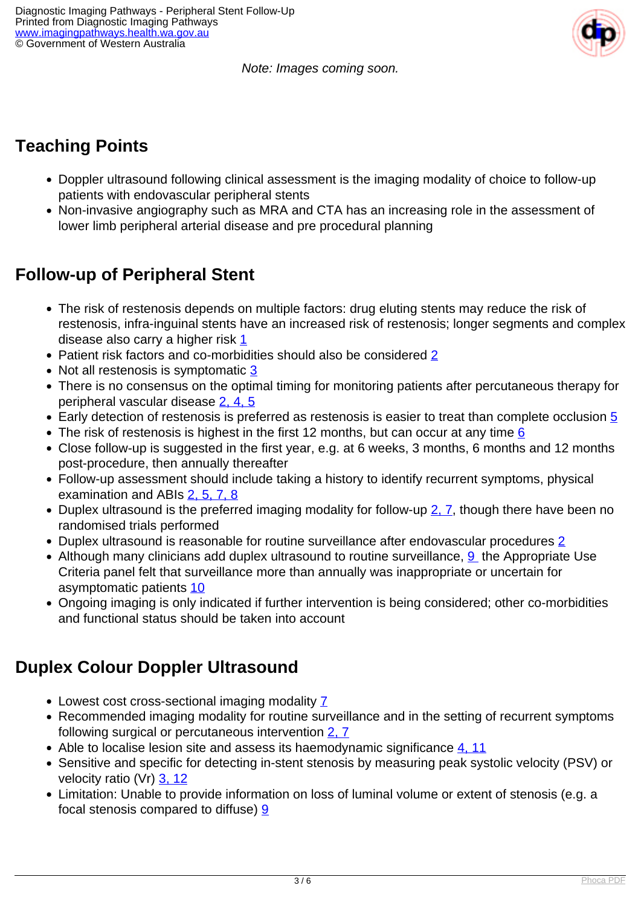Note: Images coming soon.

## **Teaching Points**

- Doppler ultrasound following clinical assessment is the imaging modality of choice to follow-up patients with endovascular peripheral stents
- Non-invasive angiography such as MRA and CTA has an increasing role in the assessment of lower limb peripheral arterial disease and pre procedural planning

### **Follow-up of Peripheral Stent**

- The risk of restenosis depends on multiple factors: drug eluting stents may reduce the risk of restenosis, infra-inguinal stents have an increased risk of restenosis; longer segments and complex disease also carry a higher risk [1](index.php?option=com_content&view=article&id=98&tab=references)
- Patient risk factors and co-morbidities should also be considered [2](index.php?option=com_content&view=article&id=98&tab=references)
- Not all restenosis is symptomatic [3](index.php?option=com_content&view=article&id=98&tab=references)
- There is no consensus on the optimal timing for monitoring patients after percutaneous therapy for peripheral vascular disease [2, 4, 5](index.php?option=com_content&view=article&id=98&tab=references)
- Early detection of restenosis is preferred as restenosis is easier to treat than complete occlusion  $\overline{5}$
- The risk of restenosis is highest in the first 12 months, but can occur at any time  $6$
- Close follow-up is suggested in the first year, e.g. at 6 weeks, 3 months, 6 months and 12 months post-procedure, then annually thereafter
- Follow-up assessment should include taking a history to identify recurrent symptoms, physical examination and ABIs [2, 5, 7, 8](index.php?option=com_content&view=article&id=98&tab=references)
- Duplex ultrasound is the preferred imaging modality for follow-up  $2, 7$ , though there have been no randomised trials performed
- Duplex ultrasound is reasonable for routine surveillance after endovascular procedures [2](index.php?option=com_content&view=article&id=98&tab=references)
- Although many clinicians add duplex ultrasound to routine surveillance,  $9$  the Appropriate Use Criteria panel felt that surveillance more than annually was inappropriate or uncertain for asymptomatic patients [10](index.php?option=com_content&view=article&id=98&tab=references)
- Ongoing imaging is only indicated if further intervention is being considered; other co-morbidities and functional status should be taken into account

## **Duplex Colour Doppler Ultrasound**

- Lowest cost cross-sectional imaging modality [7](index.php?option=com_content&view=article&id=98&tab=references)
- Recommended imaging modality for routine surveillance and in the setting of recurrent symptoms following surgical or percutaneous intervention [2, 7](index.php?option=com_content&view=article&id=98&tab=references)
- Able to localise lesion site and assess its haemodynamic significance [4, 11](index.php?option=com_content&view=article&id=98&tab=references)
- Sensitive and specific for detecting in-stent stenosis by measuring peak systolic velocity (PSV) or velocity ratio (Vr) [3, 12](index.php?option=com_content&view=article&id=98&tab=references)
- Limitation: Unable to provide information on loss of luminal volume or extent of stenosis (e.g. a focal stenosis compared to diffuse) [9](index.php?option=com_content&view=article&id=98&tab=references)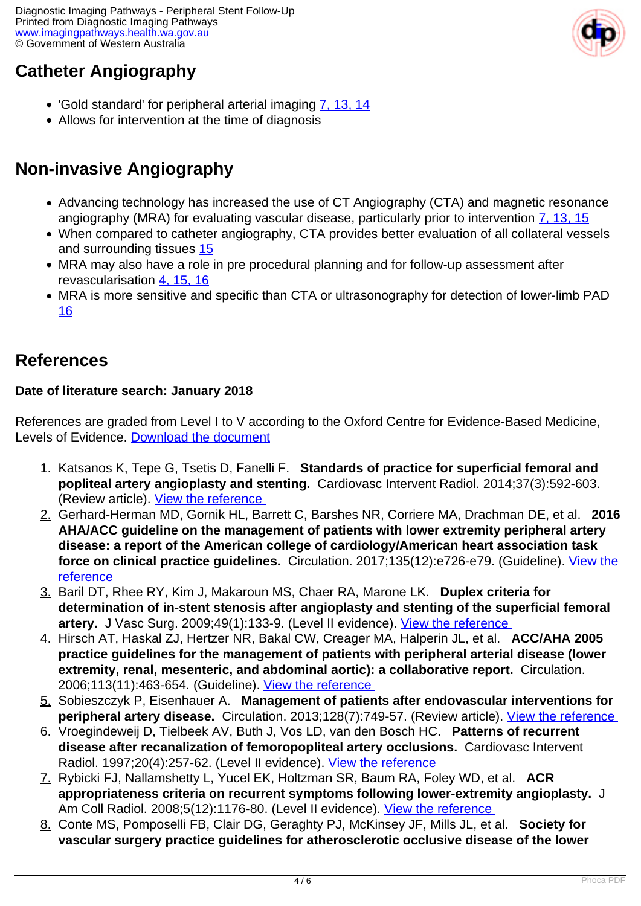## **Catheter Angiography**

- 'Gold standard' for peripheral arterial imaging [7, 13, 14](index.php?option=com_content&view=article&id=98&tab=references)
- Allows for intervention at the time of diagnosis

## **Non-invasive Angiography**

- Advancing technology has increased the use of CT Angiography (CTA) and magnetic resonance angiography (MRA) for evaluating vascular disease, particularly prior to intervention [7, 13, 15](index.php?option=com_content&view=article&id=98&tab=references)
- When compared to catheter angiography, CTA provides better evaluation of all collateral vessels and surrounding tissues [15](index.php?option=com_content&view=article&id=98&tab=references)
- MRA may also have a role in pre procedural planning and for follow-up assessment after revascularisation [4, 15, 16](index.php?option=com_content&view=article&id=98&tab=references)
- MRA is more sensitive and specific than CTA or ultrasonography for detection of lower-limb PAD [16](index.php?option=com_content&view=article&id=98&tab=references)

### **References**

### **Date of literature search: January 2018**

References are graded from Level I to V according to the Oxford Centre for Evidence-Based Medicine, Levels of Evidence. [Download the document](http://www.cebm.net/wp-content/uploads/2014/06/CEBM-Levels-of-Evidence-2.1.pdf)

- 1. Katsanos K, Tepe G, Tsetis D, Fanelli F. **Standards of practice for superficial femoral and popliteal artery angioplasty and stenting.** Cardiovasc Intervent Radiol. 2014;37(3):592-603. (Review article). View the reference
- 2. Gerhard-Herman MD, Gornik HL, Barrett C, Barshes NR, Corriere MA, Drachman DE, et al. **2016 AHA/ACC guideline on the management of patients with lower extremity peripheral artery disease: a report of the American college of cardiology/American heart association task force on clinical practice guidelines.** Circulation. 2017;135(12):e726-e79. (Guideline). [View the](https://www.ncbi.nlm.nih.gov/pmc/articles/PMC5477786/ ) [reference](https://www.ncbi.nlm.nih.gov/pmc/articles/PMC5477786/ )
- 3. Baril DT, Rhee RY, Kim J, Makaroun MS, Chaer RA, Marone LK. **Duplex criteria for determination of in-stent stenosis after angioplasty and stenting of the superficial femoral** artery. J Vasc Surg. 2009;49(1):133-9. (Level II evidence). View the reference
- 4. Hirsch AT, Haskal ZJ, Hertzer NR, Bakal CW, Creager MA, Halperin JL, et al. **ACC/AHA 2005 practice guidelines for the management of patients with peripheral arterial disease (lower extremity, renal, mesenteric, and abdominal aortic): a collaborative report.** Circulation. 2006;113(11):463-654. (Guideline). [View the reference](http://circ.ahajournals.org/content/circulationaha/113/11/e463.full.pdf )
- 5. Sobieszczyk P, Eisenhauer A. **Management of patients after endovascular interventions for peripheral artery disease.** Circulation. 2013;128(7):749-57. (Review article). [View the reference](http://circ.ahajournals.org/content/128/7/749.long )
- 6. Vroegindeweij D, Tielbeek AV, Buth J, Vos LD, van den Bosch HC. **Patterns of recurrent disease after recanalization of femoropopliteal artery occlusions.** Cardiovasc Intervent Radiol. 1997;20(4):257-62. (Level II evidence). [View the reference](https://www.ncbi.nlm.nih.gov/pubmed/9211771 )
- 7. Rybicki FJ, Nallamshetty L, Yucel EK, Holtzman SR, Baum RA, Foley WD, et al. **ACR appropriateness criteria on recurrent symptoms following lower-extremity angioplasty.** J Am Coll Radiol. 2008;5(12):1176-80. (Level II evidence). View the reference
- 8. Conte MS, Pomposelli FB, Clair DG, Geraghty PJ, McKinsey JF, Mills JL, et al. **Society for vascular surgery practice guidelines for atherosclerotic occlusive disease of the lower**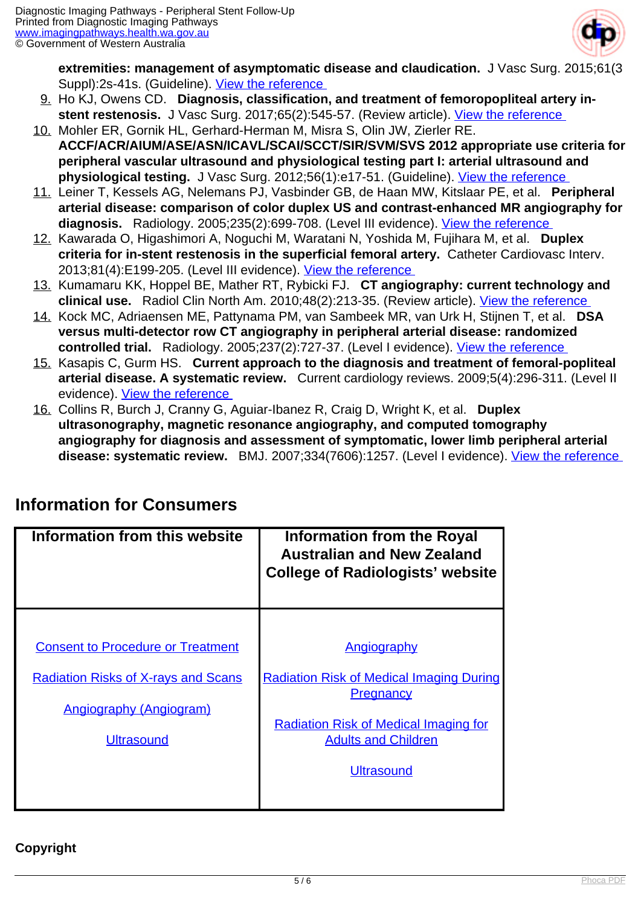

**extremities: management of asymptomatic disease and claudication.** J Vasc Surg. 2015;61(3 Suppl):2s-41s. (Guideline). View the reference

- 9. Ho KJ, Owens CD. **Diagnosis, classification, and treatment of femoropopliteal artery instent restenosis.** J Vasc Surg. 2017;65(2):545-57. (Review article). [View the reference](https://www.ncbi.nlm.nih.gov/pubmed/28126181 )
- 10. Mohler ER, Gornik HL, Gerhard-Herman M, Misra S, Olin JW, Zierler RE. **ACCF/ACR/AIUM/ASE/ASN/ICAVL/SCAI/SCCT/SIR/SVM/SVS 2012 appropriate use criteria for peripheral vascular ultrasound and physiological testing part I: arterial ultrasound and physiological testing.** J Vasc Surg. 2012;56(1):e17-51. (Guideline). [View the reference](https://www.ncbi.nlm.nih.gov/pmc/articles/PMC4514917/ )
- 11. Leiner T, Kessels AG, Nelemans PJ, Vasbinder GB, de Haan MW, Kitslaar PE, et al. **Peripheral arterial disease: comparison of color duplex US and contrast-enhanced MR angiography for** diagnosis. Radiology. 2005;235(2):699-708. (Level III evidence). View the reference
- 12. Kawarada O, Higashimori A, Noguchi M, Waratani N, Yoshida M, Fujihara M, et al. **Duplex criteria for in-stent restenosis in the superficial femoral artery.** Catheter Cardiovasc Interv. 2013;81(4):E199-205. (Level III evidence). [View the reference](https://www.ncbi.nlm.nih.gov/pubmed/22639187 )
- 13. Kumamaru KK, Hoppel BE, Mather RT, Rybicki FJ. **CT angiography: current technology and clinical use.** Radiol Clin North Am. 2010;48(2):213-35. (Review article). [View the reference](https://www.ncbi.nlm.nih.gov/pubmed/20609871 )
- 14. Kock MC, Adriaensen ME, Pattynama PM, van Sambeek MR, van Urk H, Stijnen T, et al. **DSA versus multi-detector row CT angiography in peripheral arterial disease: randomized controlled trial.** Radiology. 2005;237(2):727-37. (Level I evidence). [View the reference](https://www.ncbi.nlm.nih.gov/pubmed/16244280 )
- 15. Kasapis C, Gurm HS. **Current approach to the diagnosis and treatment of femoral-popliteal arterial disease. A systematic review.** Current cardiology reviews. 2009;5(4):296-311. (Level II evidence). [View the reference](https://www.ncbi.nlm.nih.gov/pubmed/21037847 )
- 16. Collins R, Burch J, Cranny G, Aguiar-Ibanez R, Craig D, Wright K, et al. **Duplex ultrasonography, magnetic resonance angiography, and computed tomography angiography for diagnosis and assessment of symptomatic, lower limb peripheral arterial** disease: systematic review. BMJ. 2007;334(7606):1257. (Level I evidence). *View the reference*

| Information from this website                                                                                                                 | <b>Information from the Royal</b><br><b>Australian and New Zealand</b><br><b>College of Radiologists' website</b>                                                                     |
|-----------------------------------------------------------------------------------------------------------------------------------------------|---------------------------------------------------------------------------------------------------------------------------------------------------------------------------------------|
| <b>Consent to Procedure or Treatment</b><br><b>Radiation Risks of X-rays and Scans</b><br><b>Angiography (Angiogram)</b><br><b>Ultrasound</b> | Angiography<br><b>Radiation Risk of Medical Imaging During</b><br><b>Pregnancy</b><br><b>Radiation Risk of Medical Imaging for</b><br><b>Adults and Children</b><br><b>Ultrasound</b> |

## **Information for Consumers**

### **Copyright**